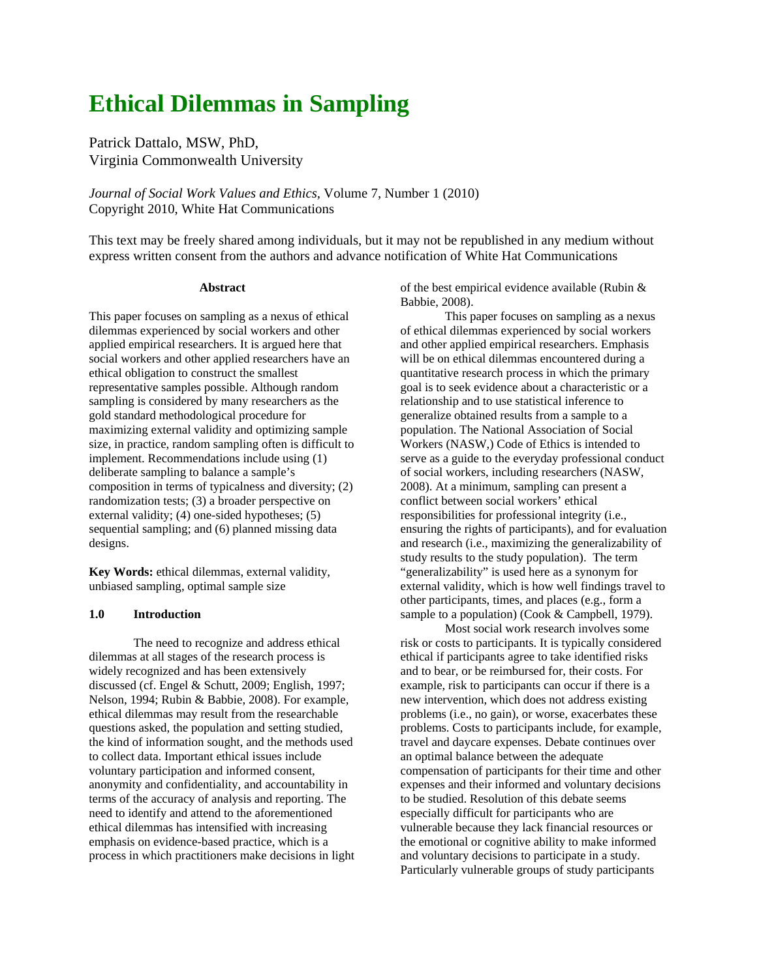# **Ethical Dilemmas in Sampling**

Patrick Dattalo, MSW, PhD, Virginia Commonwealth University

*Journal of Social Work Values and Ethics,* Volume 7, Number 1 (2010) Copyright 2010, White Hat Communications

This text may be freely shared among individuals, but it may not be republished in any medium without express written consent from the authors and advance notification of White Hat Communications

#### **Abstract**

This paper focuses on sampling as a nexus of ethical dilemmas experienced by social workers and other applied empirical researchers. It is argued here that social workers and other applied researchers have an ethical obligation to construct the smallest representative samples possible. Although random sampling is considered by many researchers as the gold standard methodological procedure for maximizing external validity and optimizing sample size, in practice, random sampling often is difficult to implement. Recommendations include using (1) deliberate sampling to balance a sample's composition in terms of typicalness and diversity; (2) randomization tests; (3) a broader perspective on external validity; (4) one-sided hypotheses; (5) sequential sampling; and (6) planned missing data designs.

**Key Words:** ethical dilemmas, external validity, unbiased sampling, optimal sample size

#### **1.0 Introduction**

The need to recognize and address ethical dilemmas at all stages of the research process is widely recognized and has been extensively discussed (cf. Engel & Schutt, 2009; English, 1997; Nelson, 1994; Rubin & Babbie, 2008). For example, ethical dilemmas may result from the researchable questions asked, the population and setting studied, the kind of information sought, and the methods used to collect data. Important ethical issues include voluntary participation and informed consent, anonymity and confidentiality, and accountability in terms of the accuracy of analysis and reporting. The need to identify and attend to the aforementioned ethical dilemmas has intensified with increasing emphasis on evidence-based practice, which is a process in which practitioners make decisions in light of the best empirical evidence available (Rubin & Babbie, 2008).

 This paper focuses on sampling as a nexus of ethical dilemmas experienced by social workers and other applied empirical researchers. Emphasis will be on ethical dilemmas encountered during a quantitative research process in which the primary goal is to seek evidence about a characteristic or a relationship and to use statistical inference to generalize obtained results from a sample to a population. The National Association of Social Workers (NASW,) Code of Ethics is intended to serve as a guide to the everyday professional conduct of social workers, including researchers (NASW, 2008). At a minimum, sampling can present a conflict between social workers' ethical responsibilities for professional integrity (i.e., ensuring the rights of participants), and for evaluation and research (i.e., maximizing the generalizability of study results to the study population). The term "generalizability" is used here as a synonym for external validity, which is how well findings travel to other participants, times, and places (e.g., form a sample to a population) (Cook & Campbell, 1979).

 Most social work research involves some risk or costs to participants. It is typically considered ethical if participants agree to take identified risks and to bear, or be reimbursed for, their costs. For example, risk to participants can occur if there is a new intervention, which does not address existing problems (i.e., no gain), or worse, exacerbates these problems. Costs to participants include, for example, travel and daycare expenses. Debate continues over an optimal balance between the adequate compensation of participants for their time and other expenses and their informed and voluntary decisions to be studied. Resolution of this debate seems especially difficult for participants who are vulnerable because they lack financial resources or the emotional or cognitive ability to make informed and voluntary decisions to participate in a study. Particularly vulnerable groups of study participants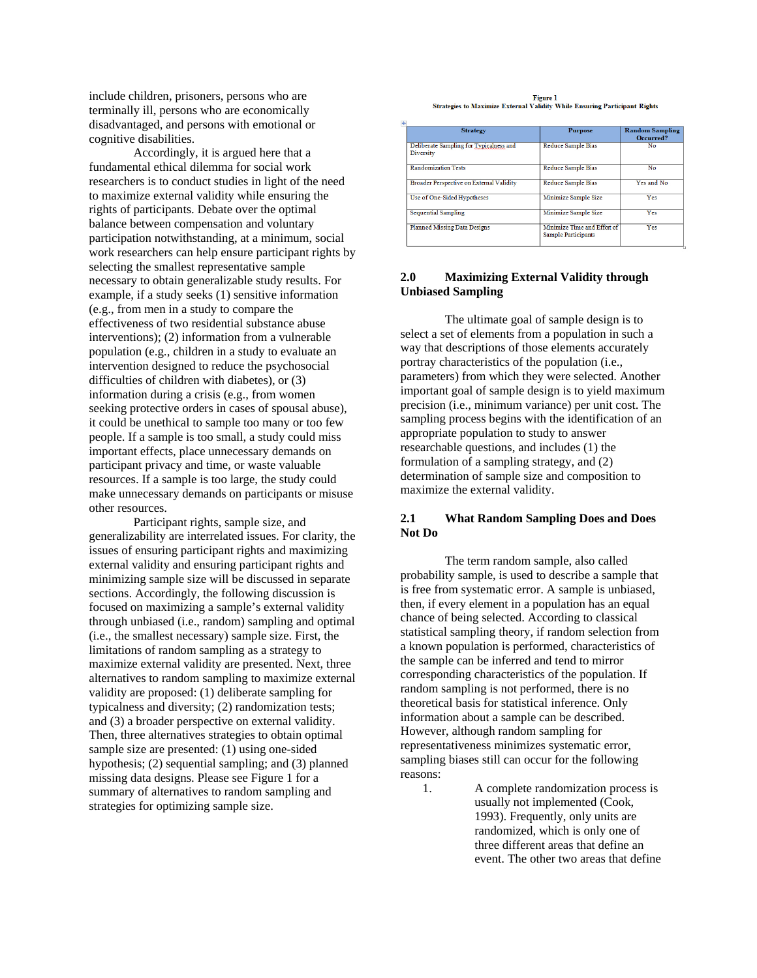include children, prisoners, persons who are terminally ill, persons who are economically disadvantaged, and persons with emotional or cognitive disabilities.

 Accordingly, it is argued here that a fundamental ethical dilemma for social work researchers is to conduct studies in light of the need to maximize external validity while ensuring the rights of participants. Debate over the optimal balance between compensation and voluntary participation notwithstanding, at a minimum, social work researchers can help ensure participant rights by selecting the smallest representative sample necessary to obtain generalizable study results. For example, if a study seeks (1) sensitive information (e.g., from men in a study to compare the effectiveness of two residential substance abuse interventions); (2) information from a vulnerable population (e.g., children in a study to evaluate an intervention designed to reduce the psychosocial difficulties of children with diabetes), or (3) information during a crisis (e.g., from women seeking protective orders in cases of spousal abuse), it could be unethical to sample too many or too few people. If a sample is too small, a study could miss important effects, place unnecessary demands on participant privacy and time, or waste valuable resources. If a sample is too large, the study could make unnecessary demands on participants or misuse other resources.

 Participant rights, sample size, and generalizability are interrelated issues. For clarity, the issues of ensuring participant rights and maximizing external validity and ensuring participant rights and minimizing sample size will be discussed in separate sections. Accordingly, the following discussion is focused on maximizing a sample's external validity through unbiased (i.e., random) sampling and optimal (i.e., the smallest necessary) sample size. First, the limitations of random sampling as a strategy to maximize external validity are presented. Next, three alternatives to random sampling to maximize external validity are proposed: (1) deliberate sampling for typicalness and diversity; (2) randomization tests; and (3) a broader perspective on external validity. Then, three alternatives strategies to obtain optimal sample size are presented: (1) using one-sided hypothesis; (2) sequential sampling; and (3) planned missing data designs. Please see Figure 1 for a summary of alternatives to random sampling and strategies for optimizing sample size.

# Figure 1<br>Strategies to Maximize External Validity While Ensuring Participant Rights

| ÷ |                                                      |                                                           |                                     |
|---|------------------------------------------------------|-----------------------------------------------------------|-------------------------------------|
|   | <b>Strategy</b>                                      | <b>Purpose</b>                                            | <b>Random Sampling</b><br>Occurred? |
|   | Deliberate Sampling for Typicalness and<br>Diversity | <b>Reduce Sample Bias</b>                                 | No                                  |
|   | <b>Randomization Tests</b>                           | <b>Reduce Sample Bias</b>                                 | No                                  |
|   | Broader Perspective on External Validity             | Reduce Sample Bias                                        | Yes and No.                         |
|   | Use of One-Sided Hypotheses                          | Minimize Sample Size                                      | Yes                                 |
|   | <b>Sequential Sampling</b>                           | Minimize Sample Size                                      | Yes                                 |
|   | Planned Missing Data Designs                         | Minimize Time and Effort of<br><b>Sample Participants</b> | Yes                                 |

### **2.0 Maximizing External Validity through Unbiased Sampling**

The ultimate goal of sample design is to select a set of elements from a population in such a way that descriptions of those elements accurately portray characteristics of the population (i.e., parameters) from which they were selected. Another important goal of sample design is to yield maximum precision (i.e., minimum variance) per unit cost. The sampling process begins with the identification of an appropriate population to study to answer researchable questions, and includes (1) the formulation of a sampling strategy, and (2) determination of sample size and composition to maximize the external validity.

#### **2.1 What Random Sampling Does and Does Not Do**

The term random sample, also called probability sample, is used to describe a sample that is free from systematic error. A sample is unbiased, then, if every element in a population has an equal chance of being selected. According to classical statistical sampling theory, if random selection from a known population is performed, characteristics of the sample can be inferred and tend to mirror corresponding characteristics of the population. If random sampling is not performed, there is no theoretical basis for statistical inference. Only information about a sample can be described. However, although random sampling for representativeness minimizes systematic error, sampling biases still can occur for the following reasons:

1. A complete randomization process is usually not implemented (Cook, 1993). Frequently, only units are randomized, which is only one of three different areas that define an event. The other two areas that define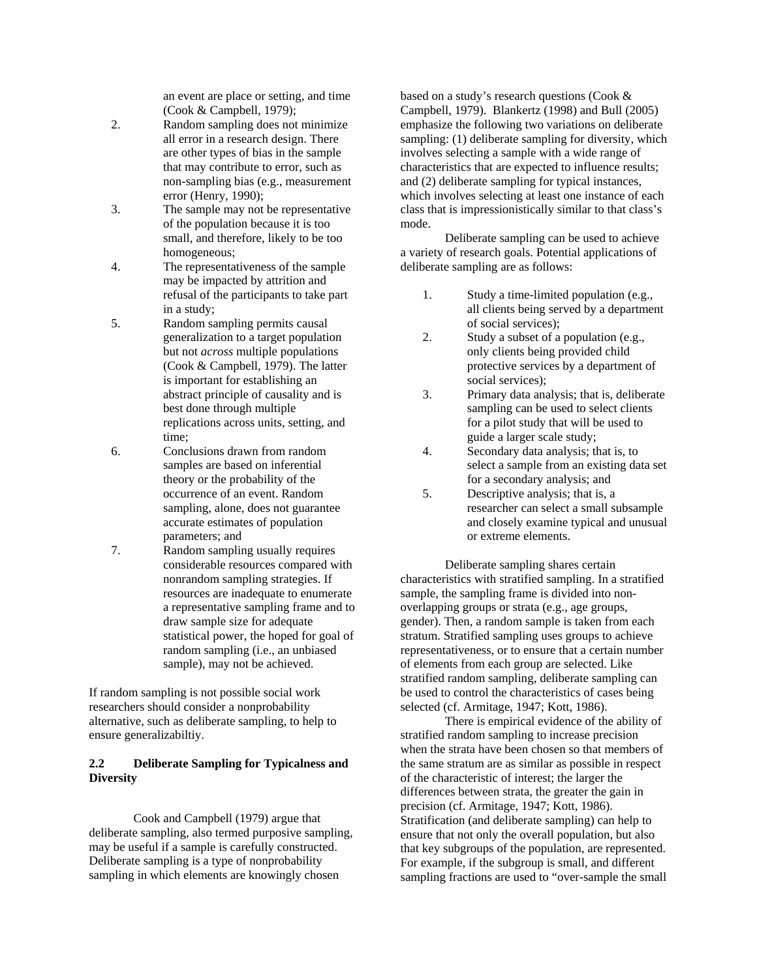an event are place or setting, and time (Cook & Campbell, 1979);

- 2. Random sampling does not minimize all error in a research design. There are other types of bias in the sample that may contribute to error, such as non-sampling bias (e.g., measurement error (Henry, 1990);
- 3. The sample may not be representative of the population because it is too small, and therefore, likely to be too homogeneous;
- 4. The representativeness of the sample may be impacted by attrition and refusal of the participants to take part in a study;
- 5. Random sampling permits causal generalization to a target population but not *across* multiple populations (Cook & Campbell, 1979). The latter is important for establishing an abstract principle of causality and is best done through multiple replications across units, setting, and time;
- 6. Conclusions drawn from random samples are based on inferential theory or the probability of the occurrence of an event. Random sampling, alone, does not guarantee accurate estimates of population parameters; and
- 7. Random sampling usually requires considerable resources compared with nonrandom sampling strategies. If resources are inadequate to enumerate a representative sampling frame and to draw sample size for adequate statistical power, the hoped for goal of random sampling (i.e., an unbiased sample), may not be achieved.

If random sampling is not possible social work researchers should consider a nonprobability alternative, such as deliberate sampling, to help to ensure generalizabiltiy.

## **2.2 Deliberate Sampling for Typicalness and Diversity**

Cook and Campbell (1979) argue that deliberate sampling, also termed purposive sampling, may be useful if a sample is carefully constructed. Deliberate sampling is a type of nonprobability sampling in which elements are knowingly chosen

based on a study's research questions (Cook & Campbell, 1979). Blankertz (1998) and Bull (2005) emphasize the following two variations on deliberate sampling: (1) deliberate sampling for diversity, which involves selecting a sample with a wide range of characteristics that are expected to influence results; and (2) deliberate sampling for typical instances, which involves selecting at least one instance of each class that is impressionistically similar to that class's mode.

 Deliberate sampling can be used to achieve a variety of research goals. Potential applications of deliberate sampling are as follows:

- 1. Study a time-limited population (e.g., all clients being served by a department of social services);
- 2. Study a subset of a population (e.g., only clients being provided child protective services by a department of social services);
- 3. Primary data analysis; that is, deliberate sampling can be used to select clients for a pilot study that will be used to guide a larger scale study;
- 4. Secondary data analysis; that is, to select a sample from an existing data set for a secondary analysis; and
- 5. Descriptive analysis; that is, a researcher can select a small subsample and closely examine typical and unusual or extreme elements.

 Deliberate sampling shares certain characteristics with stratified sampling. In a stratified sample, the sampling frame is divided into nonoverlapping groups or strata (e.g., age groups, gender). Then, a random sample is taken from each stratum. Stratified sampling uses groups to achieve representativeness, or to ensure that a certain number of elements from each group are selected. Like stratified random sampling, deliberate sampling can be used to control the characteristics of cases being selected (cf. Armitage, 1947; Kott, 1986).

 There is empirical evidence of the ability of stratified random sampling to increase precision when the strata have been chosen so that members of the same stratum are as similar as possible in respect of the characteristic of interest; the larger the differences between strata, the greater the gain in precision (cf. Armitage, 1947; Kott, 1986). Stratification (and deliberate sampling) can help to ensure that not only the overall population, but also that key subgroups of the population, are represented. For example, if the subgroup is small, and different sampling fractions are used to "over-sample the small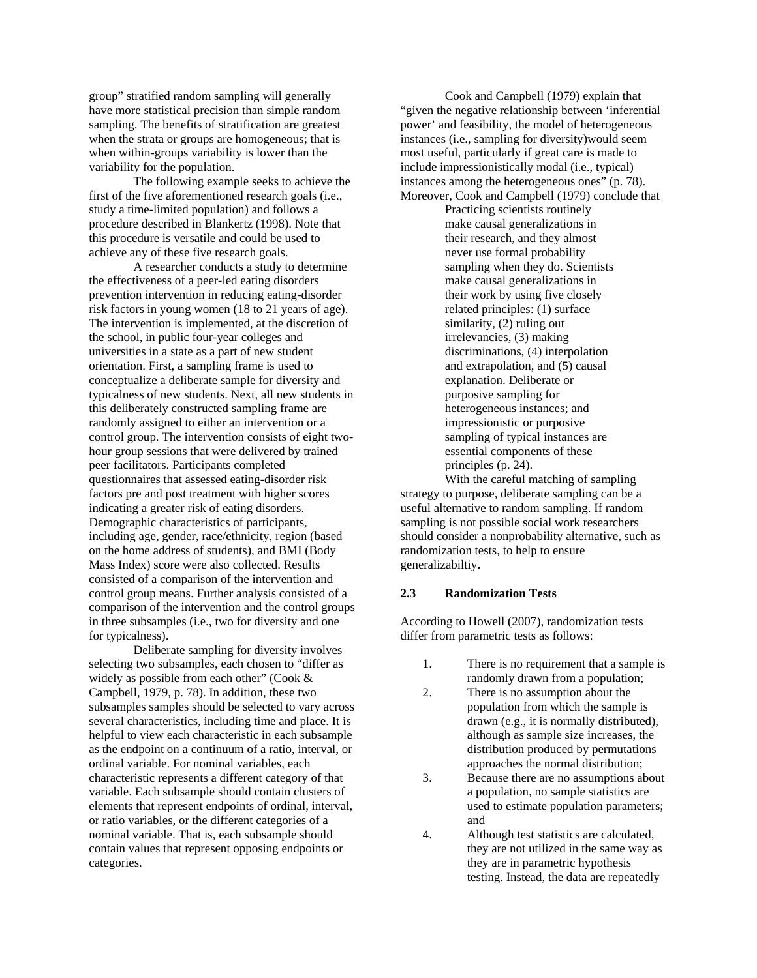group" stratified random sampling will generally have more statistical precision than simple random sampling. The benefits of stratification are greatest when the strata or groups are homogeneous; that is when within-groups variability is lower than the variability for the population.

 The following example seeks to achieve the first of the five aforementioned research goals (i.e., study a time-limited population) and follows a procedure described in Blankertz (1998). Note that this procedure is versatile and could be used to achieve any of these five research goals.

 A researcher conducts a study to determine the effectiveness of a peer-led eating disorders prevention intervention in reducing eating-disorder risk factors in young women (18 to 21 years of age). The intervention is implemented, at the discretion of the school, in public four-year colleges and universities in a state as a part of new student orientation. First, a sampling frame is used to conceptualize a deliberate sample for diversity and typicalness of new students. Next, all new students in this deliberately constructed sampling frame are randomly assigned to either an intervention or a control group. The intervention consists of eight twohour group sessions that were delivered by trained peer facilitators. Participants completed questionnaires that assessed eating-disorder risk factors pre and post treatment with higher scores indicating a greater risk of eating disorders. Demographic characteristics of participants, including age, gender, race/ethnicity, region (based on the home address of students), and BMI (Body Mass Index) score were also collected. Results consisted of a comparison of the intervention and control group means. Further analysis consisted of a comparison of the intervention and the control groups in three subsamples (i.e., two for diversity and one for typicalness).

 Deliberate sampling for diversity involves selecting two subsamples, each chosen to "differ as widely as possible from each other" (Cook & Campbell, 1979, p. 78). In addition, these two subsamples samples should be selected to vary across several characteristics, including time and place. It is helpful to view each characteristic in each subsample as the endpoint on a continuum of a ratio, interval, or ordinal variable. For nominal variables, each characteristic represents a different category of that variable. Each subsample should contain clusters of elements that represent endpoints of ordinal, interval, or ratio variables, or the different categories of a nominal variable. That is, each subsample should contain values that represent opposing endpoints or categories.

 Cook and Campbell (1979) explain that "given the negative relationship between 'inferential power' and feasibility, the model of heterogeneous instances (i.e., sampling for diversity)would seem most useful, particularly if great care is made to include impressionistically modal (i.e., typical) instances among the heterogeneous ones" (p. 78). Moreover, Cook and Campbell (1979) conclude that

Practicing scientists routinely make causal generalizations in their research, and they almost never use formal probability sampling when they do. Scientists make causal generalizations in their work by using five closely related principles: (1) surface similarity, (2) ruling out irrelevancies, (3) making discriminations, (4) interpolation and extrapolation, and (5) causal explanation. Deliberate or purposive sampling for heterogeneous instances; and impressionistic or purposive sampling of typical instances are essential components of these principles (p. 24).

 With the careful matching of sampling strategy to purpose, deliberate sampling can be a useful alternative to random sampling. If random sampling is not possible social work researchers should consider a nonprobability alternative, such as randomization tests, to help to ensure generalizabiltiy**.** 

#### **2.3 Randomization Tests**

According to Howell (2007), randomization tests differ from parametric tests as follows:

- 1. There is no requirement that a sample is randomly drawn from a population;
- 2. There is no assumption about the population from which the sample is drawn (e.g., it is normally distributed), although as sample size increases, the distribution produced by permutations approaches the normal distribution;
- 3. Because there are no assumptions about a population, no sample statistics are used to estimate population parameters; and
- 4. Although test statistics are calculated, they are not utilized in the same way as they are in parametric hypothesis testing. Instead, the data are repeatedly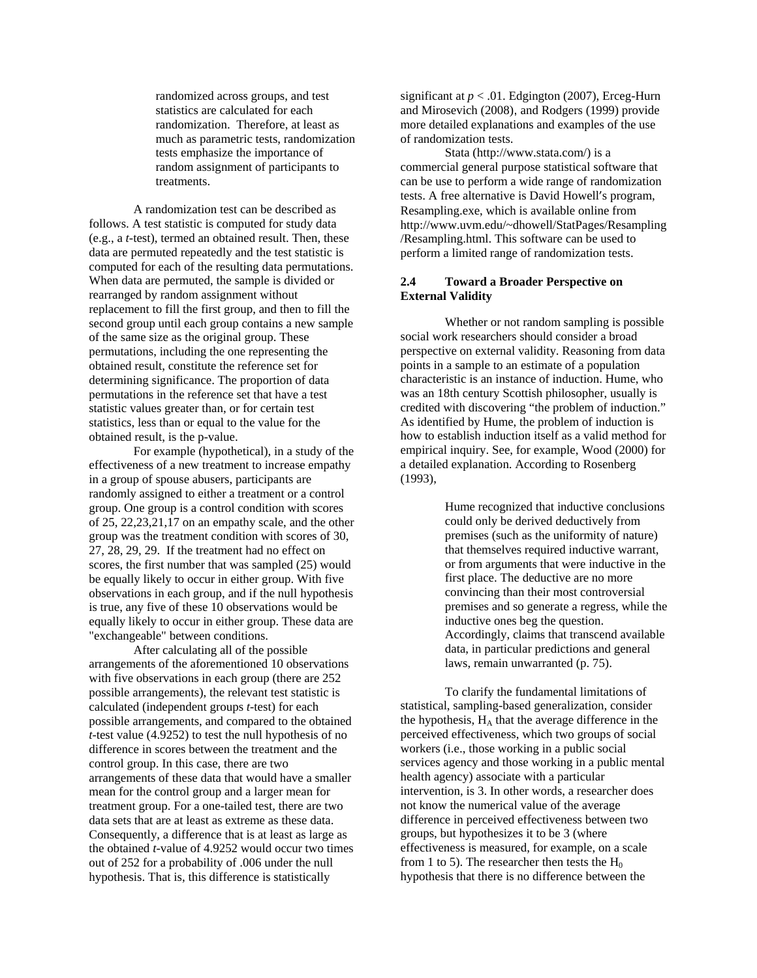randomized across groups, and test statistics are calculated for each randomization. Therefore, at least as much as parametric tests, randomization tests emphasize the importance of random assignment of participants to treatments.

 A randomization test can be described as follows. A test statistic is computed for study data (e.g., a *t*-test), termed an obtained result. Then, these data are permuted repeatedly and the test statistic is computed for each of the resulting data permutations. When data are permuted, the sample is divided or rearranged by random assignment without replacement to fill the first group, and then to fill the second group until each group contains a new sample of the same size as the original group. These permutations, including the one representing the obtained result, constitute the reference set for determining significance. The proportion of data permutations in the reference set that have a test statistic values greater than, or for certain test statistics, less than or equal to the value for the obtained result, is the p-value.

 For example (hypothetical), in a study of the effectiveness of a new treatment to increase empathy in a group of spouse abusers, participants are randomly assigned to either a treatment or a control group. One group is a control condition with scores of 25, 22,23,21,17 on an empathy scale, and the other group was the treatment condition with scores of 30, 27, 28, 29, 29. If the treatment had no effect on scores, the first number that was sampled (25) would be equally likely to occur in either group. With five observations in each group, and if the null hypothesis is true, any five of these 10 observations would be equally likely to occur in either group. These data are "exchangeable" between conditions.

 After calculating all of the possible arrangements of the aforementioned 10 observations with five observations in each group (there are 252 possible arrangements), the relevant test statistic is calculated (independent groups *t*-test) for each possible arrangements, and compared to the obtained *t*-test value (4.9252) to test the null hypothesis of no difference in scores between the treatment and the control group. In this case, there are two arrangements of these data that would have a smaller mean for the control group and a larger mean for treatment group. For a one-tailed test, there are two data sets that are at least as extreme as these data. Consequently, a difference that is at least as large as the obtained *t*-value of 4.9252 would occur two times out of 252 for a probability of .006 under the null hypothesis. That is, this difference is statistically

significant at  $p < .01$ . Edgington (2007), Erceg-Hurn and Mirosevich (2008), and Rodgers (1999) provide more detailed explanations and examples of the use of randomization tests.

 Stata (http://www.stata.com/) is a commercial general purpose statistical software that can be use to perform a wide range of randomization tests. A free alternative is David Howell's program, Resampling.exe, which is available online from http://www.uvm.edu/~dhowell/StatPages/Resampling /Resampling.html. This software can be used to perform a limited range of randomization tests.

#### **2.4 Toward a Broader Perspective on External Validity**

Whether or not random sampling is possible social work researchers should consider a broad perspective on external validity. Reasoning from data points in a sample to an estimate of a population characteristic is an instance of induction. Hume, who was an 18th century Scottish philosopher, usually is credited with discovering "the problem of induction." As identified by Hume, the problem of induction is how to establish induction itself as a valid method for empirical inquiry. See, for example, Wood (2000) for a detailed explanation. According to Rosenberg (1993),

> Hume recognized that inductive conclusions could only be derived deductively from premises (such as the uniformity of nature) that themselves required inductive warrant, or from arguments that were inductive in the first place. The deductive are no more convincing than their most controversial premises and so generate a regress, while the inductive ones beg the question. Accordingly, claims that transcend available data, in particular predictions and general laws, remain unwarranted (p. 75).

 To clarify the fundamental limitations of statistical, sampling-based generalization, consider the hypothesis,  $H_A$  that the average difference in the perceived effectiveness, which two groups of social workers (i.e., those working in a public social services agency and those working in a public mental health agency) associate with a particular intervention, is 3. In other words, a researcher does not know the numerical value of the average difference in perceived effectiveness between two groups, but hypothesizes it to be 3 (where effectiveness is measured, for example, on a scale from 1 to 5). The researcher then tests the  $H_0$ hypothesis that there is no difference between the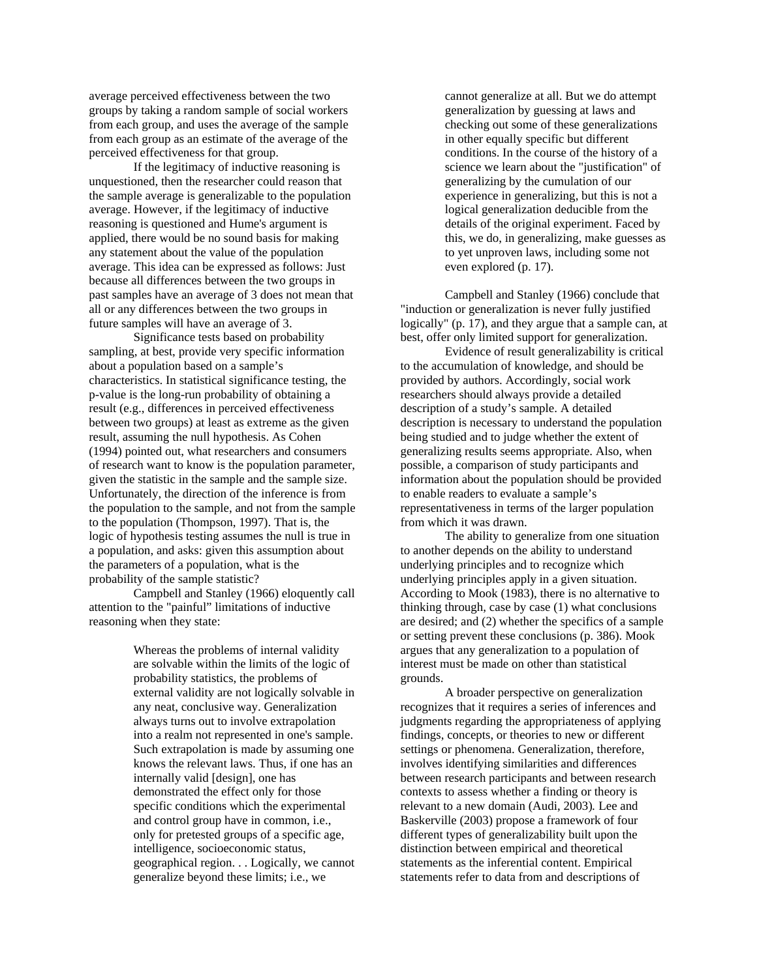average perceived effectiveness between the two groups by taking a random sample of social workers from each group, and uses the average of the sample from each group as an estimate of the average of the perceived effectiveness for that group.

 If the legitimacy of inductive reasoning is unquestioned, then the researcher could reason that the sample average is generalizable to the population average. However, if the legitimacy of inductive reasoning is questioned and Hume's argument is applied, there would be no sound basis for making any statement about the value of the population average. This idea can be expressed as follows: Just because all differences between the two groups in past samples have an average of 3 does not mean that all or any differences between the two groups in future samples will have an average of 3.

 Significance tests based on probability sampling, at best, provide very specific information about a population based on a sample's characteristics. In statistical significance testing, the p-value is the long-run probability of obtaining a result (e.g., differences in perceived effectiveness between two groups) at least as extreme as the given result, assuming the null hypothesis. As Cohen (1994) pointed out, what researchers and consumers of research want to know is the population parameter, given the statistic in the sample and the sample size. Unfortunately, the direction of the inference is from the population to the sample, and not from the sample to the population (Thompson, 1997). That is, the logic of hypothesis testing assumes the null is true in a population, and asks: given this assumption about the parameters of a population, what is the probability of the sample statistic?

 Campbell and Stanley (1966) eloquently call attention to the "painful" limitations of inductive reasoning when they state:

> Whereas the problems of internal validity are solvable within the limits of the logic of probability statistics, the problems of external validity are not logically solvable in any neat, conclusive way. Generalization always turns out to involve extrapolation into a realm not represented in one's sample. Such extrapolation is made by assuming one knows the relevant laws. Thus, if one has an internally valid [design], one has demonstrated the effect only for those specific conditions which the experimental and control group have in common, i.e., only for pretested groups of a specific age, intelligence, socioeconomic status, geographical region. . . Logically, we cannot generalize beyond these limits; i.e., we

cannot generalize at all. But we do attempt generalization by guessing at laws and checking out some of these generalizations in other equally specific but different conditions. In the course of the history of a science we learn about the "justification" of generalizing by the cumulation of our experience in generalizing, but this is not a logical generalization deducible from the details of the original experiment. Faced by this, we do, in generalizing, make guesses as to yet unproven laws, including some not even explored (p. 17).

Campbell and Stanley (1966) conclude that "induction or generalization is never fully justified logically" (p. 17), and they argue that a sample can, at best, offer only limited support for generalization.

 Evidence of result generalizability is critical to the accumulation of knowledge, and should be provided by authors. Accordingly, social work researchers should always provide a detailed description of a study's sample. A detailed description is necessary to understand the population being studied and to judge whether the extent of generalizing results seems appropriate. Also, when possible, a comparison of study participants and information about the population should be provided to enable readers to evaluate a sample's representativeness in terms of the larger population from which it was drawn.

 The ability to generalize from one situation to another depends on the ability to understand underlying principles and to recognize which underlying principles apply in a given situation. According to Mook (1983), there is no alternative to thinking through, case by case (1) what conclusions are desired; and (2) whether the specifics of a sample or setting prevent these conclusions (p. 386). Mook argues that any generalization to a population of interest must be made on other than statistical grounds.

 A broader perspective on generalization recognizes that it requires a series of inferences and judgments regarding the appropriateness of applying findings, concepts, or theories to new or different settings or phenomena. Generalization, therefore, involves identifying similarities and differences between research participants and between research contexts to assess whether a finding or theory is relevant to a new domain (Audi, 2003)*.* Lee and Baskerville (2003) propose a framework of four different types of generalizability built upon the distinction between empirical and theoretical statements as the inferential content. Empirical statements refer to data from and descriptions of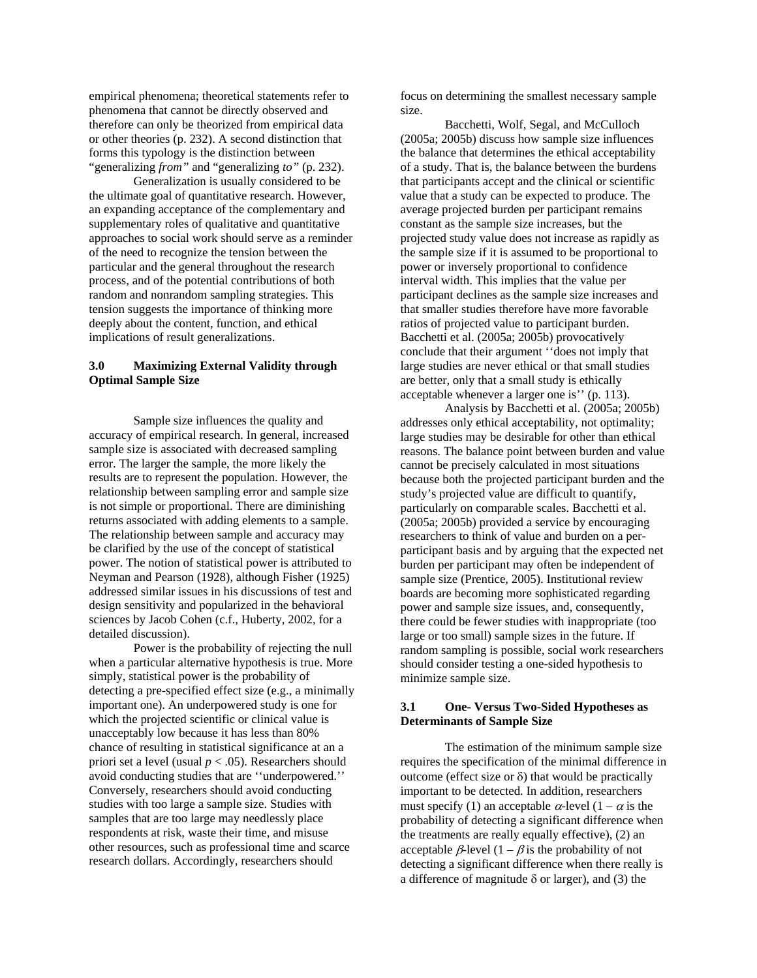empirical phenomena; theoretical statements refer to phenomena that cannot be directly observed and therefore can only be theorized from empirical data or other theories (p. 232). A second distinction that forms this typology is the distinction between "generalizing *from"* and "generalizing *to"* (p. 232).

 Generalization is usually considered to be the ultimate goal of quantitative research. However, an expanding acceptance of the complementary and supplementary roles of qualitative and quantitative approaches to social work should serve as a reminder of the need to recognize the tension between the particular and the general throughout the research process, and of the potential contributions of both random and nonrandom sampling strategies. This tension suggests the importance of thinking more deeply about the content, function, and ethical implications of result generalizations.

#### **3.0 Maximizing External Validity through Optimal Sample Size**

Sample size influences the quality and accuracy of empirical research. In general, increased sample size is associated with decreased sampling error. The larger the sample, the more likely the results are to represent the population. However, the relationship between sampling error and sample size is not simple or proportional. There are diminishing returns associated with adding elements to a sample. The relationship between sample and accuracy may be clarified by the use of the concept of statistical power. The notion of statistical power is attributed to Neyman and Pearson (1928), although Fisher (1925) addressed similar issues in his discussions of test and design sensitivity and popularized in the behavioral sciences by Jacob Cohen (c.f., Huberty, 2002, for a detailed discussion).

 Power is the probability of rejecting the null when a particular alternative hypothesis is true. More simply, statistical power is the probability of detecting a pre-specified effect size (e.g., a minimally important one). An underpowered study is one for which the projected scientific or clinical value is unacceptably low because it has less than 80% chance of resulting in statistical significance at an a priori set a level (usual *p* < .05). Researchers should avoid conducting studies that are ''underpowered.'' Conversely, researchers should avoid conducting studies with too large a sample size. Studies with samples that are too large may needlessly place respondents at risk, waste their time, and misuse other resources, such as professional time and scarce research dollars. Accordingly, researchers should

focus on determining the smallest necessary sample size.

 Bacchetti, Wolf, Segal, and McCulloch (2005a; 2005b) discuss how sample size influences the balance that determines the ethical acceptability of a study. That is, the balance between the burdens that participants accept and the clinical or scientific value that a study can be expected to produce. The average projected burden per participant remains constant as the sample size increases, but the projected study value does not increase as rapidly as the sample size if it is assumed to be proportional to power or inversely proportional to confidence interval width. This implies that the value per participant declines as the sample size increases and that smaller studies therefore have more favorable ratios of projected value to participant burden. Bacchetti et al. (2005a; 2005b) provocatively conclude that their argument ''does not imply that large studies are never ethical or that small studies are better, only that a small study is ethically acceptable whenever a larger one is'' (p. 113).

 Analysis by Bacchetti et al. (2005a; 2005b) addresses only ethical acceptability, not optimality; large studies may be desirable for other than ethical reasons. The balance point between burden and value cannot be precisely calculated in most situations because both the projected participant burden and the study's projected value are difficult to quantify, particularly on comparable scales. Bacchetti et al. (2005a; 2005b) provided a service by encouraging researchers to think of value and burden on a perparticipant basis and by arguing that the expected net burden per participant may often be independent of sample size (Prentice, 2005). Institutional review boards are becoming more sophisticated regarding power and sample size issues, and, consequently, there could be fewer studies with inappropriate (too large or too small) sample sizes in the future. If random sampling is possible, social work researchers should consider testing a one-sided hypothesis to minimize sample size.

#### **3.1 One- Versus Two-Sided Hypotheses as Determinants of Sample Size**

The estimation of the minimum sample size requires the specification of the minimal difference in outcome (effect size or δ) that would be practically important to be detected. In addition, researchers must specify (1) an acceptable  $\alpha$ -level (1 –  $\alpha$  is the probability of detecting a significant difference when the treatments are really equally effective), (2) an acceptable  $\beta$ -level  $(1 - \beta)$  is the probability of not detecting a significant difference when there really is a difference of magnitude  $\delta$  or larger), and (3) the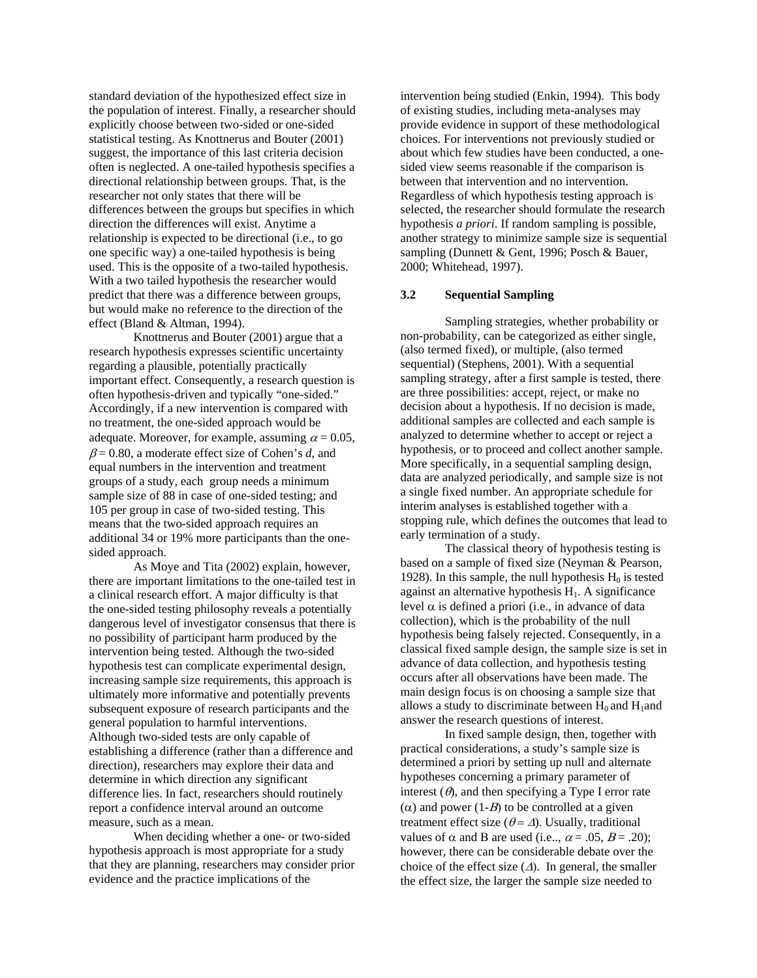standard deviation of the hypothesized effect size in the population of interest. Finally, a researcher should explicitly choose between two-sided or one-sided statistical testing. As Knottnerus and Bouter (2001) suggest, the importance of this last criteria decision often is neglected. A one-tailed hypothesis specifies a directional relationship between groups. That, is the researcher not only states that there will be differences between the groups but specifies in which direction the differences will exist. Anytime a relationship is expected to be directional (i.e., to go one specific way) a one-tailed hypothesis is being used. This is the opposite of a two-tailed hypothesis. With a two tailed hypothesis the researcher would predict that there was a difference between groups, but would make no reference to the direction of the effect (Bland & Altman, 1994).

 Knottnerus and Bouter (2001) argue that a research hypothesis expresses scientific uncertainty regarding a plausible, potentially practically important effect. Consequently, a research question is often hypothesis-driven and typically "one-sided." Accordingly, if a new intervention is compared with no treatment, the one-sided approach would be adequate. Moreover, for example, assuming  $\alpha = 0.05$ ,  $\beta$  = 0.80, a moderate effect size of Cohen's *d*, and equal numbers in the intervention and treatment groups of a study, each group needs a minimum sample size of 88 in case of one-sided testing; and 105 per group in case of two-sided testing. This means that the two-sided approach requires an additional 34 or 19% more participants than the onesided approach.

 As Moye and Tita (2002) explain, however, there are important limitations to the one-tailed test in a clinical research effort. A major difficulty is that the one-sided testing philosophy reveals a potentially dangerous level of investigator consensus that there is no possibility of participant harm produced by the intervention being tested. Although the two-sided hypothesis test can complicate experimental design, increasing sample size requirements, this approach is ultimately more informative and potentially prevents subsequent exposure of research participants and the general population to harmful interventions. Although two-sided tests are only capable of establishing a difference (rather than a difference and direction), researchers may explore their data and determine in which direction any significant difference lies. In fact, researchers should routinely report a confidence interval around an outcome measure, such as a mean.

 When deciding whether a one- or two-sided hypothesis approach is most appropriate for a study that they are planning, researchers may consider prior evidence and the practice implications of the

intervention being studied (Enkin, 1994). This body of existing studies, including meta-analyses may provide evidence in support of these methodological choices. For interventions not previously studied or about which few studies have been conducted, a onesided view seems reasonable if the comparison is between that intervention and no intervention. Regardless of which hypothesis testing approach is selected, the researcher should formulate the research hypothesis *a priori*. If random sampling is possible, another strategy to minimize sample size is sequential sampling (Dunnett & Gent, 1996; Posch & Bauer, 2000; Whitehead, 1997).

#### **3.2 Sequential Sampling**

Sampling strategies, whether probability or non-probability, can be categorized as either single, (also termed fixed), or multiple, (also termed sequential) (Stephens, 2001). With a sequential sampling strategy, after a first sample is tested, there are three possibilities: accept, reject, or make no decision about a hypothesis. If no decision is made, additional samples are collected and each sample is analyzed to determine whether to accept or reject a hypothesis, or to proceed and collect another sample. More specifically, in a sequential sampling design, data are analyzed periodically, and sample size is not a single fixed number. An appropriate schedule for interim analyses is established together with a stopping rule, which defines the outcomes that lead to early termination of a study.

 The classical theory of hypothesis testing is based on a sample of fixed size (Neyman & Pearson, 1928). In this sample, the null hypothesis  $H_0$  is tested against an alternative hypothesis  $H<sub>1</sub>$ . A significance level  $\alpha$  is defined a priori (i.e., in advance of data collection), which is the probability of the null hypothesis being falsely rejected. Consequently, in a classical fixed sample design, the sample size is set in advance of data collection, and hypothesis testing occurs after all observations have been made. The main design focus is on choosing a sample size that allows a study to discriminate between  $H_0$  and  $H_1$ and answer the research questions of interest.

 In fixed sample design, then, together with practical considerations, a study's sample size is determined a priori by setting up null and alternate hypotheses concerning a primary parameter of interest  $(\theta)$ , and then specifying a Type I error rate ( $α$ ) and power (1-*B*) to be controlled at a given treatment effect size ( $\theta = \Delta$ ). Usually, traditional values of  $\alpha$  and B are used (i.e.,  $\alpha = .05$ ,  $B = .20$ ); however, there can be considerable debate over the choice of the effect size  $(\Delta)$ . In general, the smaller the effect size, the larger the sample size needed to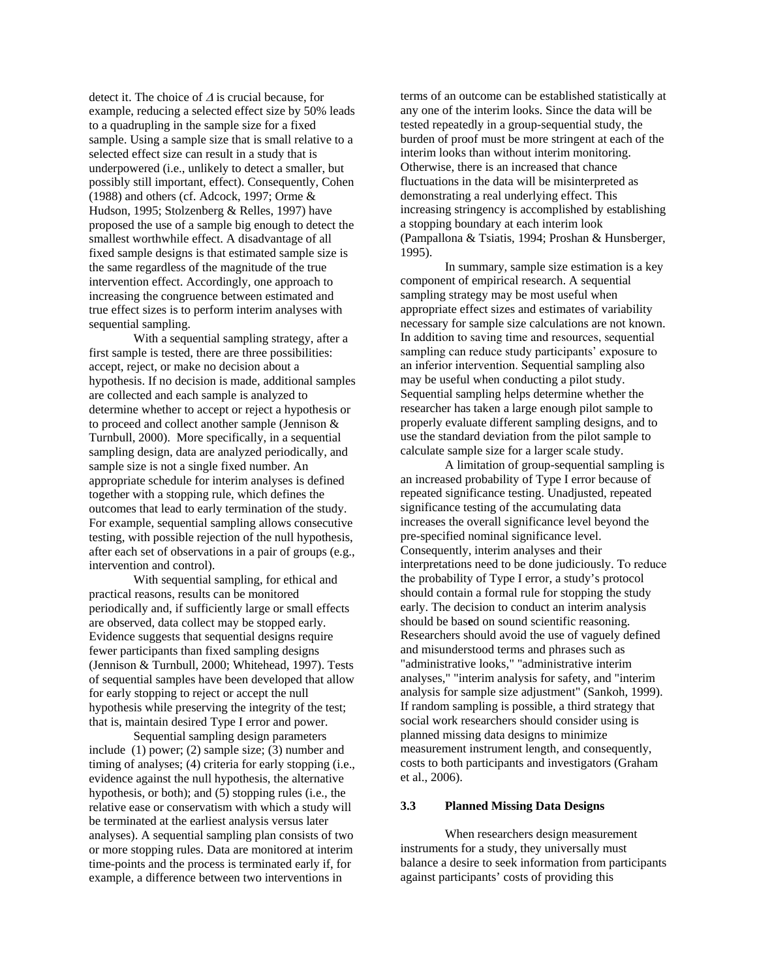detect it. The choice of  $\Delta$  is crucial because, for example, reducing a selected effect size by 50% leads to a quadrupling in the sample size for a fixed sample. Using a sample size that is small relative to a selected effect size can result in a study that is underpowered (i.e., unlikely to detect a smaller, but possibly still important, effect). Consequently, Cohen (1988) and others (cf. Adcock, 1997; Orme & Hudson, 1995; Stolzenberg & Relles, 1997) have proposed the use of a sample big enough to detect the smallest worthwhile effect. A disadvantage of all fixed sample designs is that estimated sample size is the same regardless of the magnitude of the true intervention effect. Accordingly, one approach to increasing the congruence between estimated and true effect sizes is to perform interim analyses with sequential sampling.

 With a sequential sampling strategy, after a first sample is tested, there are three possibilities: accept, reject, or make no decision about a hypothesis. If no decision is made, additional samples are collected and each sample is analyzed to determine whether to accept or reject a hypothesis or to proceed and collect another sample (Jennison & Turnbull, 2000). More specifically, in a sequential sampling design, data are analyzed periodically, and sample size is not a single fixed number. An appropriate schedule for interim analyses is defined together with a stopping rule, which defines the outcomes that lead to early termination of the study. For example, sequential sampling allows consecutive testing, with possible rejection of the null hypothesis, after each set of observations in a pair of groups (e.g., intervention and control).

 With sequential sampling, for ethical and practical reasons, results can be monitored periodically and, if sufficiently large or small effects are observed, data collect may be stopped early. Evidence suggests that sequential designs require fewer participants than fixed sampling designs (Jennison & Turnbull, 2000; Whitehead, 1997). Tests of sequential samples have been developed that allow for early stopping to reject or accept the null hypothesis while preserving the integrity of the test; that is, maintain desired Type I error and power.

 Sequential sampling design parameters include (1) power; (2) sample size; (3) number and timing of analyses; (4) criteria for early stopping (i.e., evidence against the null hypothesis, the alternative hypothesis, or both); and (5) stopping rules (i.e., the relative ease or conservatism with which a study will be terminated at the earliest analysis versus later analyses). A sequential sampling plan consists of two or more stopping rules. Data are monitored at interim time-points and the process is terminated early if, for example, a difference between two interventions in

terms of an outcome can be established statistically at any one of the interim looks. Since the data will be tested repeatedly in a group-sequential study, the burden of proof must be more stringent at each of the interim looks than without interim monitoring. Otherwise, there is an increased that chance fluctuations in the data will be misinterpreted as demonstrating a real underlying effect. This increasing stringency is accomplished by establishing a stopping boundary at each interim look (Pampallona & Tsiatis, 1994; Proshan & Hunsberger, 1995).

 In summary, sample size estimation is a key component of empirical research. A sequential sampling strategy may be most useful when appropriate effect sizes and estimates of variability necessary for sample size calculations are not known. In addition to saving time and resources, sequential sampling can reduce study participants' exposure to an inferior intervention. Sequential sampling also may be useful when conducting a pilot study. Sequential sampling helps determine whether the researcher has taken a large enough pilot sample to properly evaluate different sampling designs, and to use the standard deviation from the pilot sample to calculate sample size for a larger scale study.

 A limitation of group-sequential sampling is an increased probability of Type I error because of repeated significance testing. Unadjusted, repeated significance testing of the accumulating data increases the overall significance level beyond the pre-specified nominal significance level. Consequently, interim analyses and their interpretations need to be done judiciously. To reduce the probability of Type I error, a study's protocol should contain a formal rule for stopping the study early. The decision to conduct an interim analysis should be bas**e**d on sound scientific reasoning. Researchers should avoid the use of vaguely defined and misunderstood terms and phrases such as "administrative looks," "administrative interim analyses," "interim analysis for safety, and "interim analysis for sample size adjustment" (Sankoh, 1999). If random sampling is possible, a third strategy that social work researchers should consider using is planned missing data designs to minimize measurement instrument length, and consequently, costs to both participants and investigators (Graham et al., 2006).

#### **3.3 Planned Missing Data Designs**

 When researchers design measurement instruments for a study, they universally must balance a desire to seek information from participants against participants' costs of providing this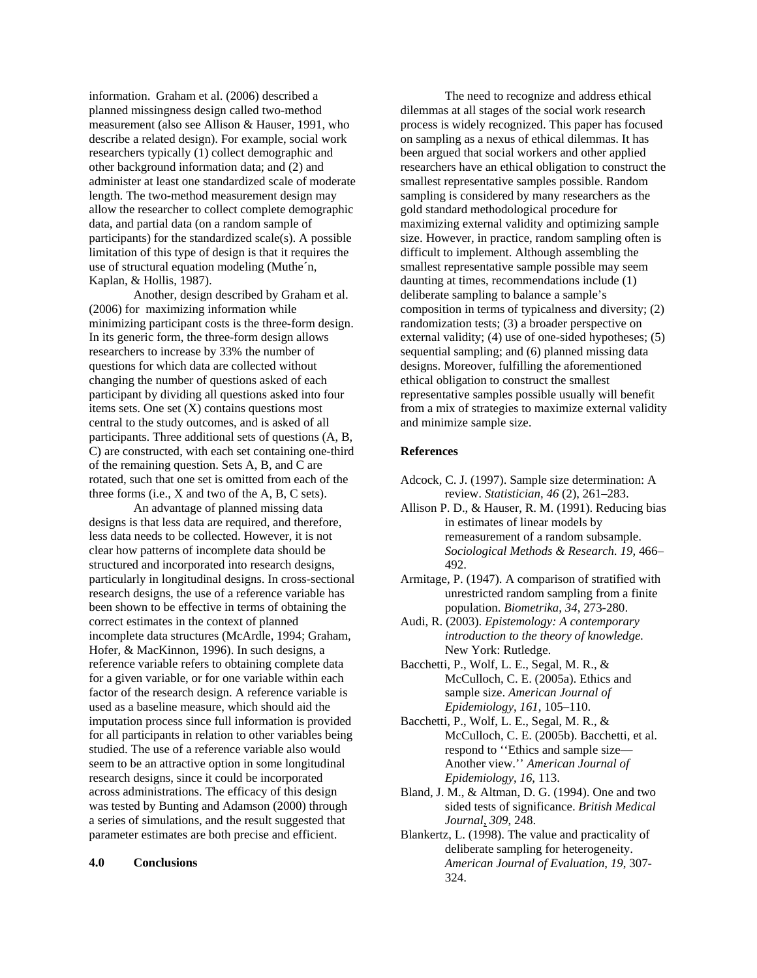information. Graham et al. (2006) described a planned missingness design called two-method measurement (also see Allison & Hauser, 1991, who describe a related design). For example, social work researchers typically (1) collect demographic and other background information data; and (2) and administer at least one standardized scale of moderate length. The two-method measurement design may allow the researcher to collect complete demographic data, and partial data (on a random sample of participants) for the standardized scale(s). A possible limitation of this type of design is that it requires the use of structural equation modeling (Muthe´n, Kaplan, & Hollis, 1987).

 Another, design described by Graham et al. (2006) for maximizing information while minimizing participant costs is the three-form design. In its generic form, the three-form design allows researchers to increase by 33% the number of questions for which data are collected without changing the number of questions asked of each participant by dividing all questions asked into four items sets. One set (X) contains questions most central to the study outcomes, and is asked of all participants. Three additional sets of questions (A, B, C) are constructed, with each set containing one-third of the remaining question. Sets A, B, and C are rotated, such that one set is omitted from each of the three forms (i.e., X and two of the A, B, C sets).

 An advantage of planned missing data designs is that less data are required, and therefore, less data needs to be collected. However, it is not clear how patterns of incomplete data should be structured and incorporated into research designs, particularly in longitudinal designs. In cross-sectional research designs, the use of a reference variable has been shown to be effective in terms of obtaining the correct estimates in the context of planned incomplete data structures (McArdle, 1994; Graham, Hofer, & MacKinnon, 1996). In such designs, a reference variable refers to obtaining complete data for a given variable, or for one variable within each factor of the research design. A reference variable is used as a baseline measure, which should aid the imputation process since full information is provided for all participants in relation to other variables being studied. The use of a reference variable also would seem to be an attractive option in some longitudinal research designs, since it could be incorporated across administrations. The efficacy of this design was tested by Bunting and Adamson (2000) through a series of simulations, and the result suggested that parameter estimates are both precise and efficient.

#### **4.0 Conclusions**

The need to recognize and address ethical dilemmas at all stages of the social work research process is widely recognized. This paper has focused on sampling as a nexus of ethical dilemmas. It has been argued that social workers and other applied researchers have an ethical obligation to construct the smallest representative samples possible. Random sampling is considered by many researchers as the gold standard methodological procedure for maximizing external validity and optimizing sample size. However, in practice, random sampling often is difficult to implement. Although assembling the smallest representative sample possible may seem daunting at times, recommendations include (1) deliberate sampling to balance a sample's composition in terms of typicalness and diversity; (2) randomization tests; (3) a broader perspective on external validity; (4) use of one-sided hypotheses; (5) sequential sampling; and (6) planned missing data designs. Moreover, fulfilling the aforementioned ethical obligation to construct the smallest representative samples possible usually will benefit from a mix of strategies to maximize external validity and minimize sample size.

#### **References**

- Adcock, C. J. (1997). Sample size determination: A review. *Statistician*, *46* (2), 261–283.
- Allison P. D., & Hauser, R. M. (1991). Reducing bias in estimates of linear models by remeasurement of a random subsample. *Sociological Methods & Research. 19*, 466– 492.
- Armitage, P. (1947). A comparison of stratified with unrestricted random sampling from a finite population. *Biometrika*, *34*, 273-280.
- Audi, R. (2003). *Epistemology: A contemporary introduction to the theory of knowledge*. New York: Rutledge.
- Bacchetti, P., Wolf, L. E., Segal, M. R., & McCulloch, C. E. (2005a). Ethics and sample size. *American Journal of Epidemiology*, *161*, 105–110.
- Bacchetti, P., Wolf, L. E., Segal, M. R., & McCulloch, C. E. (2005b). Bacchetti, et al. respond to ''Ethics and sample size— Another view.'' *American Journal of Epidemiology*, *16*, 113.
- Bland, J. M., & Altman, D. G. (1994). One and two sided tests of significance. *British Medical Journal*, *309*, 248.
- Blankertz, L. (1998). The value and practicality of deliberate sampling for heterogeneity. *American Journal of Evaluation*, *19*, 307- 324.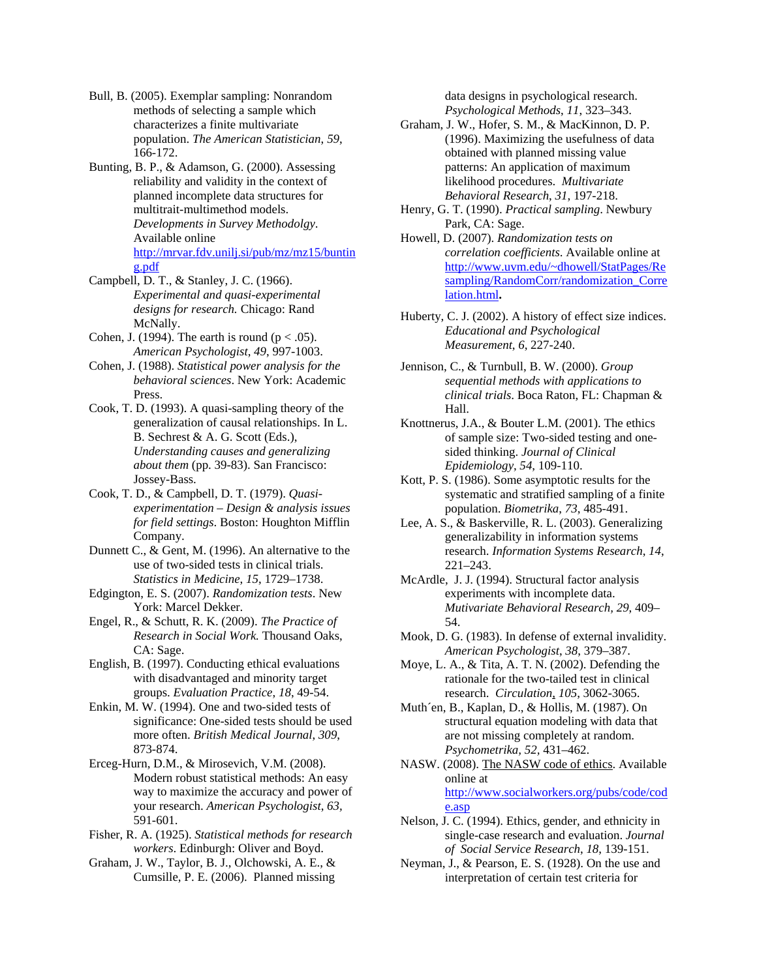- Bull, B. (2005). Exemplar sampling: Nonrandom methods of selecting a sample which characterizes a finite multivariate population. *The American Statistician*, *59*, 166-172.
- Bunting, B. P., & Adamson, G. (2000). Assessing reliability and validity in the context of planned incomplete data structures for multitrait-multimethod models. *Developments in Survey Methodolgy*. Available online http://mrvar.fdv.unilj.si/pub/mz/mz15/buntin g.pdf
- Campbell, D. T., & Stanley, J. C. (1966). *Experimental and quasi-experimental designs for research.* Chicago: Rand McNally.
- Cohen, J. (1994). The earth is round ( $p < .05$ ). *American Psychologist*, *49*, 997-1003.
- Cohen, J. (1988). *Statistical power analysis for the behavioral sciences*. New York: Academic Press.
- Cook, T. D. (1993). A quasi-sampling theory of the generalization of causal relationships. In L. B. Sechrest & A. G. Scott (Eds.), *Understanding causes and generalizing about them* (pp. 39-83). San Francisco: Jossey-Bass.
- Cook, T. D., & Campbell, D. T. (1979). *Quasiexperimentation – Design & analysis issues for field settings*. Boston: Houghton Mifflin Company.
- Dunnett C., & Gent, M. (1996). An alternative to the use of two-sided tests in clinical trials. *Statistics in Medicine*, *15*, 1729–1738.
- Edgington, E. S. (2007). *Randomization tests*. New York: Marcel Dekker.
- Engel, R., & Schutt, R. K. (2009). *The Practice of Research in Social Work.* Thousand Oaks, CA: Sage.
- English, B. (1997). Conducting ethical evaluations with disadvantaged and minority target groups. *Evaluation Practice*, *18*, 49-54.
- Enkin, M. W. (1994). One and two-sided tests of significance: One-sided tests should be used more often. *British Medical Journal*, *309*, 873-874.
- Erceg-Hurn, D.M., & Mirosevich, V.M. (2008). Modern robust statistical methods: An easy way to maximize the accuracy and power of your research. *American Psychologist*, *63,* 591-601.
- Fisher, R. A. (1925). *Statistical methods for research workers*. Edinburgh: Oliver and Boyd.
- Graham, J. W., Taylor, B. J., Olchowski, A. E., & Cumsille, P. E. (2006). Planned missing

data designs in psychological research. *Psychological Methods*, *11*, 323–343.

- Graham, J. W., Hofer, S. M., & MacKinnon, D. P. (1996). Maximizing the usefulness of data obtained with planned missing value patterns: An application of maximum likelihood procedures. *Multivariate Behavioral Research*, *31*, 197-218.
- Henry, G. T. (1990). *Practical sampling*. Newbury Park, CA: Sage.
- Howell, D. (2007). *Randomization tests on correlation coefficients*. Available online at http://www.uvm.edu/~dhowell/StatPages/Re sampling/RandomCorr/randomization\_Corre lation.html**.**
- Huberty, C. J. (2002). A history of effect size indices. *Educational and Psychological Measurement*, *6*, 227-240.
- Jennison, C., & Turnbull, B. W. (2000). *Group sequential methods with applications to clinical trials*. Boca Raton, FL: Chapman & Hall.
- Knottnerus, J.A., & Bouter L.M. (2001). The ethics of sample size: Two-sided testing and onesided thinking. *Journal of Clinical Epidemiology*, *54*, 109-110.
- Kott, P. S. (1986). Some asymptotic results for the systematic and stratified sampling of a finite population. *Biometrika*, *73*, 485-491.
- Lee, A. S., & Baskerville, R. L. (2003). Generalizing generalizability in information systems research. *Information Systems Research*, *14*, 221–243.
- McArdle, J. J. (1994). Structural factor analysis experiments with incomplete data. *Mutivariate Behavioral Research, 29*, 409– 54.
- Mook, D. G. (1983). In defense of external invalidity. *American Psychologist*, *38*, 379–387.
- Moye, L. A., & Tita, A. T. N. (2002). Defending the rationale for the two-tailed test in clinical research. *Circulation*, *105*, 3062-3065.
- Muth´en, B., Kaplan, D., & Hollis, M. (1987). On structural equation modeling with data that are not missing completely at random. *Psychometrika, 52,* 431–462.
- NASW. (2008). The NASW code of ethics. Available online at http://www.socialworkers.org/pubs/code/cod e.asp
- Nelson, J. C. (1994). Ethics, gender, and ethnicity in single-case research and evaluation. *Journal of Social Service Research*, *18*, 139-151.
- Neyman, J., & Pearson, E. S. (1928). On the use and interpretation of certain test criteria for